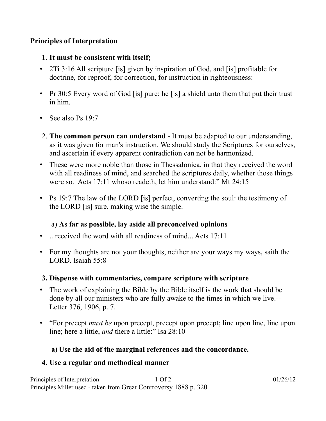#### **Principles of Interpretation**

#### **1. It must be consistent with itself;**

- 2Ti 3:16 All scripture [is] given by inspiration of God, and [is] profitable for doctrine, for reproof, for correction, for instruction in righteousness:
- Pr 30:5 Every word of God [is] pure: he [is] a shield unto them that put their trust in him.
- See also Ps  $19:7$
- 2. **The common person can understand** It must be adapted to our understanding, as it was given for man's instruction. We should study the Scriptures for ourselves, and ascertain if every apparent contradiction can not be harmonized.
- These were more noble than those in Thessalonica, in that they received the word with all readiness of mind, and searched the scriptures daily, whether those things were so. Acts  $17:11$  whoso readeth, let him understand:" Mt  $24:15$
- Ps 19:7 The law of the LORD [is] perfect, converting the soul: the testimony of the LORD [is] sure, making wise the simple.

## a) **As far as possible, lay aside all preconceived opinions**

- ...received the word with all readiness of mind... Acts 17:11
- For my thoughts are not your thoughts, neither are your ways my ways, saith the LORD. Isaiah 55:8
- **3. Dispense with commentaries, compare scripture with scripture**
- The work of explaining the Bible by the Bible itself is the work that should be done by all our ministers who are fully awake to the times in which we live.-- Letter 376, 1906, p. 7.
- For precept *must be* upon precept, precept upon precept; line upon line, line upon line; here a little, *and* there a little:" Isa 28:10

## **a) Use the aid of the marginal references and the concordance.**

## **4. Use a regular and methodical manner**

| Principles of Interpretation                                      | 1 Of 2 | 01/26/12 |
|-------------------------------------------------------------------|--------|----------|
| Principles Miller used - taken from Great Controversy 1888 p. 320 |        |          |